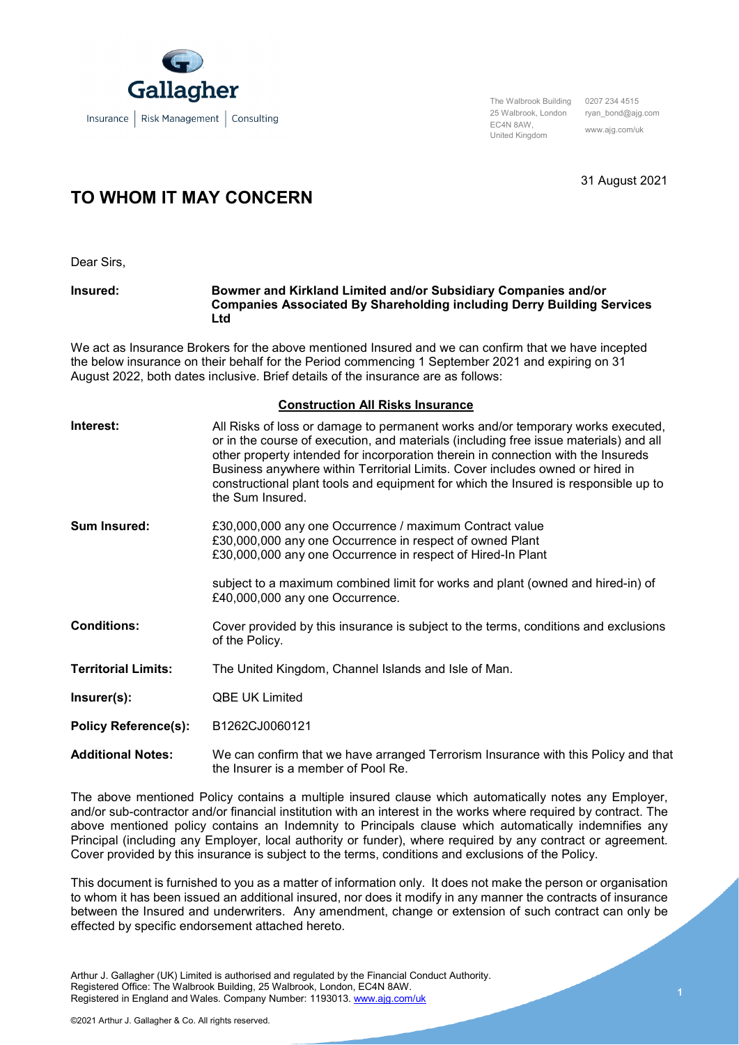

The Walbrook Building 0207 234 4515 25 Walbrook, London ryan\_bond@ajg.com EC4N 8AW, United Kingdom www.ajg.com/uk

31 August 2021

## **TO WHOM IT MAY CONCERN**

Dear Sirs,

**Insured: Bowmer and Kirkland Limited and/or Subsidiary Companies and/or Companies Associated By Shareholding including Derry Building Services Ltd**

We act as Insurance Brokers for the above mentioned Insured and we can confirm that we have incepted the below insurance on their behalf for the Period commencing 1 September 2021 and expiring on 31 August 2022, both dates inclusive. Brief details of the insurance are as follows:

## **Construction All Risks Insurance**

| Interest:                   | All Risks of loss or damage to permanent works and/or temporary works executed,<br>or in the course of execution, and materials (including free issue materials) and all<br>other property intended for incorporation therein in connection with the Insureds<br>Business anywhere within Territorial Limits. Cover includes owned or hired in<br>constructional plant tools and equipment for which the Insured is responsible up to<br>the Sum Insured. |
|-----------------------------|-----------------------------------------------------------------------------------------------------------------------------------------------------------------------------------------------------------------------------------------------------------------------------------------------------------------------------------------------------------------------------------------------------------------------------------------------------------|
| <b>Sum Insured:</b>         | £30,000,000 any one Occurrence / maximum Contract value<br>£30,000,000 any one Occurrence in respect of owned Plant<br>£30,000,000 any one Occurrence in respect of Hired-In Plant                                                                                                                                                                                                                                                                        |
|                             | subject to a maximum combined limit for works and plant (owned and hired-in) of<br>£40,000,000 any one Occurrence.                                                                                                                                                                                                                                                                                                                                        |
| <b>Conditions:</b>          | Cover provided by this insurance is subject to the terms, conditions and exclusions<br>of the Policy.                                                                                                                                                                                                                                                                                                                                                     |
| <b>Territorial Limits:</b>  | The United Kingdom, Channel Islands and Isle of Man.                                                                                                                                                                                                                                                                                                                                                                                                      |
| Insert(s):                  | <b>QBE UK Limited</b>                                                                                                                                                                                                                                                                                                                                                                                                                                     |
| <b>Policy Reference(s):</b> | B1262CJ0060121                                                                                                                                                                                                                                                                                                                                                                                                                                            |
| <b>Additional Notes:</b>    | We can confirm that we have arranged Terrorism Insurance with this Policy and that<br>the Insurer is a member of Pool Re.                                                                                                                                                                                                                                                                                                                                 |

The above mentioned Policy contains a multiple insured clause which automatically notes any Employer, and/or sub-contractor and/or financial institution with an interest in the works where required by contract. The above mentioned policy contains an Indemnity to Principals clause which automatically indemnifies any Principal (including any Employer, local authority or funder), where required by any contract or agreement. Cover provided by this insurance is subject to the terms, conditions and exclusions of the Policy.

This document is furnished to you as a matter of information only. It does not make the person or organisation to whom it has been issued an additional insured, nor does it modify in any manner the contracts of insurance between the Insured and underwriters. Any amendment, change or extension of such contract can only be effected by specific endorsement attached hereto.

Arthur J. Gallagher (UK) Limited is authorised and regulated by the Financial Conduct Authority. Registered Office: The Walbrook Building, 25 Walbrook, London, EC4N 8AW. Registered in England and Wales. Company Number: 1193013[. www.ajg.com/uk](http://www.ajg.com/uk)